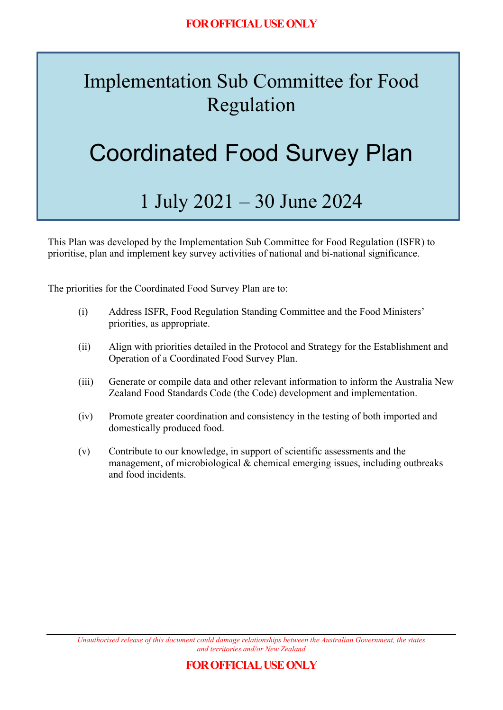## Implementation Sub Committee for Food Regulation

# Coordinated Food Survey Plan

## 1 July 2021 – 30 June 2024

This Plan was developed by the Implementation Sub Committee for Food Regulation (ISFR) to prioritise, plan and implement key survey activities of national and bi-national significance.

The priorities for the Coordinated Food Survey Plan are to:

- (i) Address ISFR, Food Regulation Standing Committee and the Food Ministers' priorities, as appropriate.
- (ii) Align with priorities detailed in the Protocol and Strategy for the Establishment and Operation of a Coordinated Food Survey Plan.
- (iii) Generate or compile data and other relevant information to inform the Australia New Zealand Food Standards Code (the Code) development and implementation.
- (iv) Promote greater coordination and consistency in the testing of both imported and domestically produced food.
- (v) Contribute to our knowledge, in support of scientific assessments and the management, of microbiological & chemical emerging issues, including outbreaks and food incidents.

*Unauthorised release of this document could damage relationships between the Australian Government, the states and territories and/or New Zealand*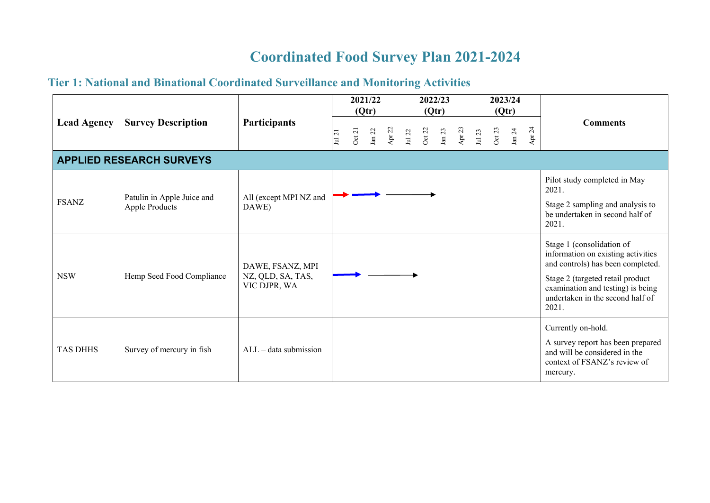### **Coordinated Food Survey Plan 2021-2024**

### **Tier 1: National and Binational Coordinated Surveillance and Monitoring Activities**

| <b>Lead Agency</b>              | <b>Survey Description</b>                    | Participants                                          |                         |       | 2021/22<br>(Qtr) |          | 2022/23<br>(Qtr) |        |        |             |             |        | 2023/24<br>(Qtr)  |                         |                                                                                                                                                                                                                            |
|---------------------------------|----------------------------------------------|-------------------------------------------------------|-------------------------|-------|------------------|----------|------------------|--------|--------|-------------|-------------|--------|-------------------|-------------------------|----------------------------------------------------------------------------------------------------------------------------------------------------------------------------------------------------------------------------|
|                                 |                                              |                                                       | $\overline{c}$<br>$\Xi$ | Oct21 | ${\rm Jan}~22$   | Apr $22$ | $\rm Jul$ 22     | Oct 22 | Jan 23 | 23<br>Apr . | 23<br>$\Xi$ | Oct 23 | ${\rm J}$ an $24$ | 24<br>$\Delta {\rm pr}$ | <b>Comments</b>                                                                                                                                                                                                            |
| <b>APPLIED RESEARCH SURVEYS</b> |                                              |                                                       |                         |       |                  |          |                  |        |        |             |             |        |                   |                         |                                                                                                                                                                                                                            |
| <b>FSANZ</b>                    | Patulin in Apple Juice and<br>Apple Products | All (except MPI NZ and<br>DAWE)                       |                         |       |                  |          |                  |        |        |             |             |        |                   |                         | Pilot study completed in May<br>2021.<br>Stage 2 sampling and analysis to<br>be undertaken in second half of<br>2021.                                                                                                      |
| <b>NSW</b>                      | Hemp Seed Food Compliance                    | DAWE, FSANZ, MPI<br>NZ, QLD, SA, TAS,<br>VIC DJPR, WA |                         |       |                  |          |                  |        |        |             |             |        |                   |                         | Stage 1 (consolidation of<br>information on existing activities<br>and controls) has been completed.<br>Stage 2 (targeted retail product<br>examination and testing) is being<br>undertaken in the second half of<br>2021. |
| <b>TAS DHHS</b>                 | Survey of mercury in fish                    | $ALL - data$ submission                               |                         |       |                  |          |                  |        |        |             |             |        |                   |                         | Currently on-hold.<br>A survey report has been prepared<br>and will be considered in the<br>context of FSANZ's review of<br>mercury.                                                                                       |